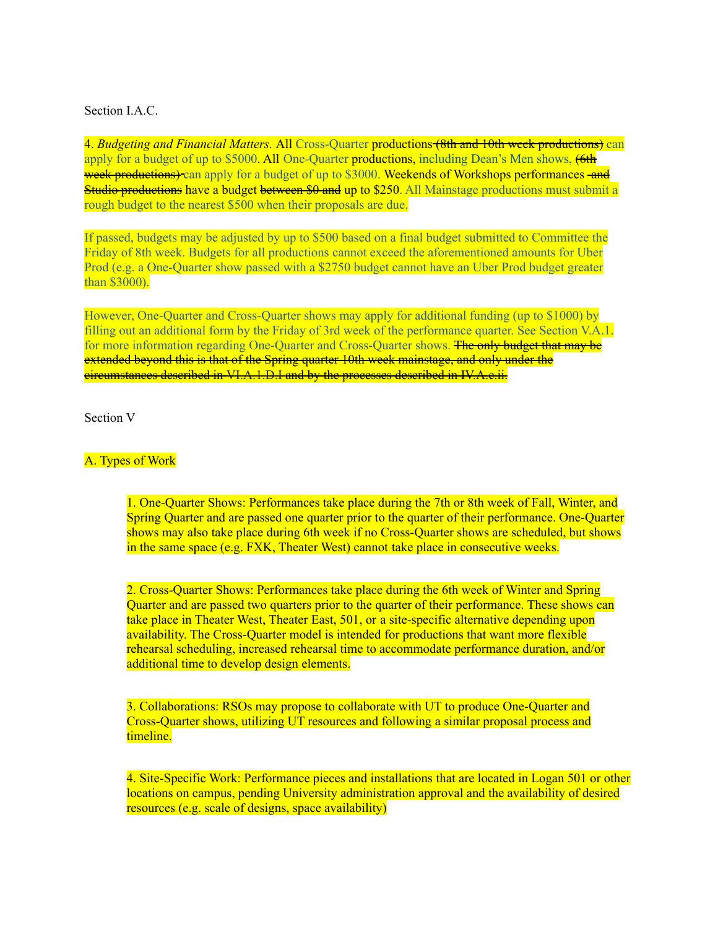Section I.A.C.

4. *Budgeting and Financial Matters.* All Cross-Quarter productions (8th and 10th week productions) can apply for a budget of up to \$5000. All One-Quarter productions, including Dean's Men shows,  $\left(6th\right)$ week productions) can apply for a budget of up to \$3000. Weekends of Workshops performances -and Studio productions have a budget between \$0 and up to \$250. All Mainstage productions must submit a rough budget to the nearest \$500 when their proposals are due.

If passed, budgets may be adjusted by up to \$500 based on a final budget submitted to Committee the Friday of 8th week. Budgets for all productions cannot exceed the aforementioned amounts for Uber Prod (e.g. a One-Quarter show passed with a \$2750 budget cannot have an Uber Prod budget greater than \$3000).

However, One-Quarter and Cross-Quarter shows may apply for additional funding (up to \$1000) by filling out an additional form by the Friday of 3rd week of the performance quarter. See Section V.A.1. for more information regarding One-Quarter and Cross-Quarter shows. The only budget that may be extended beyond this is that of the Spring quarter 10th week mainstage, and only under the circumstances described in VI.A.1.D.I and by the processes described in IV.A.c.ii.

Section V

## A. Types of Work

1. One-Quarter Shows: Performances take place during the 7th or 8th week of Fall, Winter, and Spring Quarter and are passed one quarter prior to the quarter of their performance. One-Quarter shows may also take place during 6th week if no Cross-Quarter shows are scheduled, but shows in the same space (e.g. FXK, Theater West) cannot take place in consecutive weeks.

2. Cross-Quarter Shows: Performances take place during the 6th week of Winter and Spring Quarter and are passed two quarters prior to the quarter of their performance. These shows can take place in Theater West, Theater East, 501, or a site-specific alternative depending upon availability. The Cross-Quarter model is intended for productions that want more flexible rehearsal scheduling, increased rehearsal time to accommodate performance duration, and/or additional time to develop design elements.

3. Collaborations: RSOs may propose to collaborate with UT to produce One-Quarter and Cross-Quarter shows, utilizing UT resources and following a similar proposal process and timeline.

4. Site-Specific Work: Performance pieces and installations that are located in Logan 501 or other locations on campus, pending University administration approval and the availability of desired resources (e.g. scale of designs, space availability)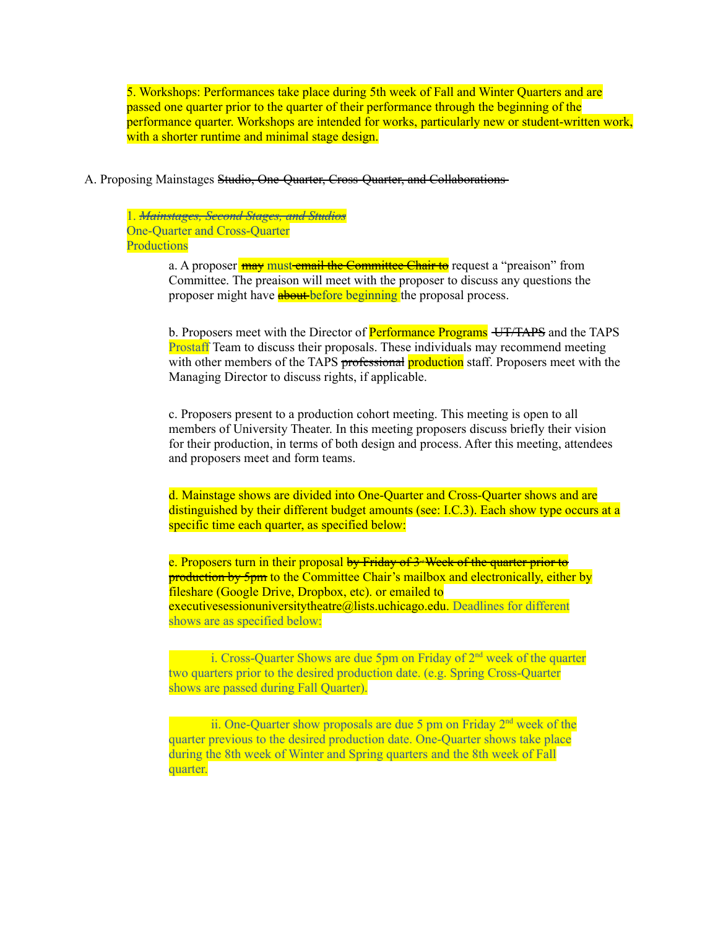5. Workshops: Performances take place during 5th week of Fall and Winter Quarters and are passed one quarter prior to the quarter of their performance through the beginning of the performance quarter. Workshops are intended for works, particularly new or student-written work, with a shorter runtime and minimal stage design.

A. Proposing Mainstages Studio, One-Quarter, Cross-Quarter, and Collaborations

1. *Mainstages, Second Stages, and Studios* One-Quarter and Cross-Quarter **Productions** 

> a. A proposer **may must email the Committee Chair to** request a "preaison" from Committee. The preaison will meet with the proposer to discuss any questions the proposer might have **about** before beginning the proposal process.

b. Proposers meet with the Director of **Performance Programs** UT/TAPS and the TAPS Prostaff Team to discuss their proposals. These individuals may recommend meeting with other members of the TAPS professional production staff. Proposers meet with the Managing Director to discuss rights, if applicable.

c. Proposers present to a production cohort meeting. This meeting is open to all members of University Theater. In this meeting proposers discuss briefly their vision for their production, in terms of both design and process. After this meeting, attendees and proposers meet and form teams.

d. Mainstage shows are divided into One-Quarter and Cross-Quarter shows and are distinguished by their different budget amounts (see: I.C.3). Each show type occurs at a specific time each quarter, as specified below:

e. Proposers turn in their proposal by Friday of  $3$  Week of the quarter prior to **production by 5pm** to the Committee Chair's mailbox and electronically, either by fileshare (Google Drive, Dropbox, etc). or emailed to executivesessionuniversitytheatre@lists.uchicago.edu. Deadlines for different shows are as specified below:

i. Cross-Quarter Shows are due 5pm on Friday of  $2<sup>nd</sup>$  week of the quarter two quarters prior to the desired production date. (e.g. Spring Cross-Quarter shows are passed during Fall Quarter).

ii. One-Quarter show proposals are due 5 pm on Friday  $2<sup>nd</sup>$  week of the quarter previous to the desired production date. One-Quarter shows take place during the 8th week of Winter and Spring quarters and the 8th week of Fall quarter.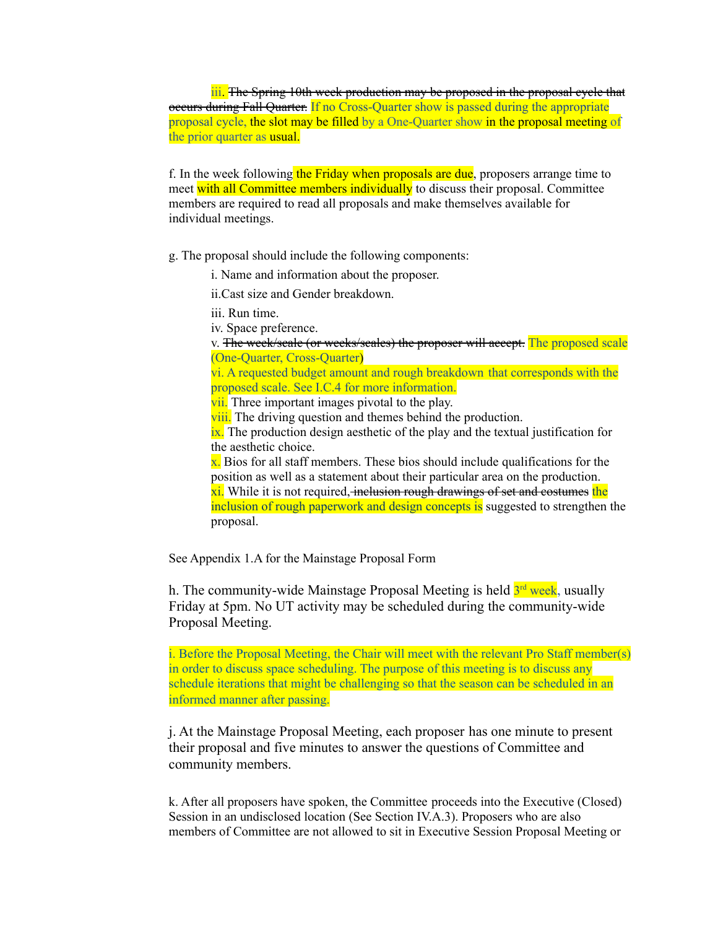iii. The Spring 10th week production may be proposed in the proposal cycle that occurs during Fall Quarter. If no Cross-Quarter show is passed during the appropriate proposal cycle, the slot may be filled by a One-Quarter show in the proposal meeting of the prior quarter as usual.

f. In the week following the Friday when proposals are due, proposers arrange time to meet with all Committee members individually to discuss their proposal. Committee members are required to read all proposals and make themselves available for individual meetings.

g. The proposal should include the following components:

i. Name and information about the proposer.

ii.Cast size and Gender breakdown.

iii. Run time.

iv. Space preference.

v. The week/scale (or weeks/scales) the proposer will accept. The proposed scale (One-Quarter, Cross-Quarter)

vi. A requested budget amount and rough breakdown that corresponds with the proposed scale. See I.C.4 for more information.

vii. Three important images pivotal to the play.

viii. The driving question and themes behind the production.

ix. The production design aesthetic of the play and the textual justification for the aesthetic choice.

 $x$ . Bios for all staff members. These bios should include qualifications for the position as well as a statement about their particular area on the production. xi. While it is not required, inclusion rough drawings of set and costumes the inclusion of rough paperwork and design concepts is suggested to strengthen the proposal.

See Appendix 1.A for the Mainstage Proposal Form

h. The community-wide Mainstage Proposal Meeting is held <sup>3rd</sup> week, usually Friday at 5pm. No UT activity may be scheduled during the community-wide Proposal Meeting.

i. Before the Proposal Meeting, the Chair will meet with the relevant Pro Staff member(s) in order to discuss space scheduling. The purpose of this meeting is to discuss any schedule iterations that might be challenging so that the season can be scheduled in an informed manner after passing.

j. At the Mainstage Proposal Meeting, each proposer has one minute to present their proposal and five minutes to answer the questions of Committee and community members.

k. After all proposers have spoken, the Committee proceeds into the Executive (Closed) Session in an undisclosed location (See Section IV.A.3). Proposers who are also members of Committee are not allowed to sit in Executive Session Proposal Meeting or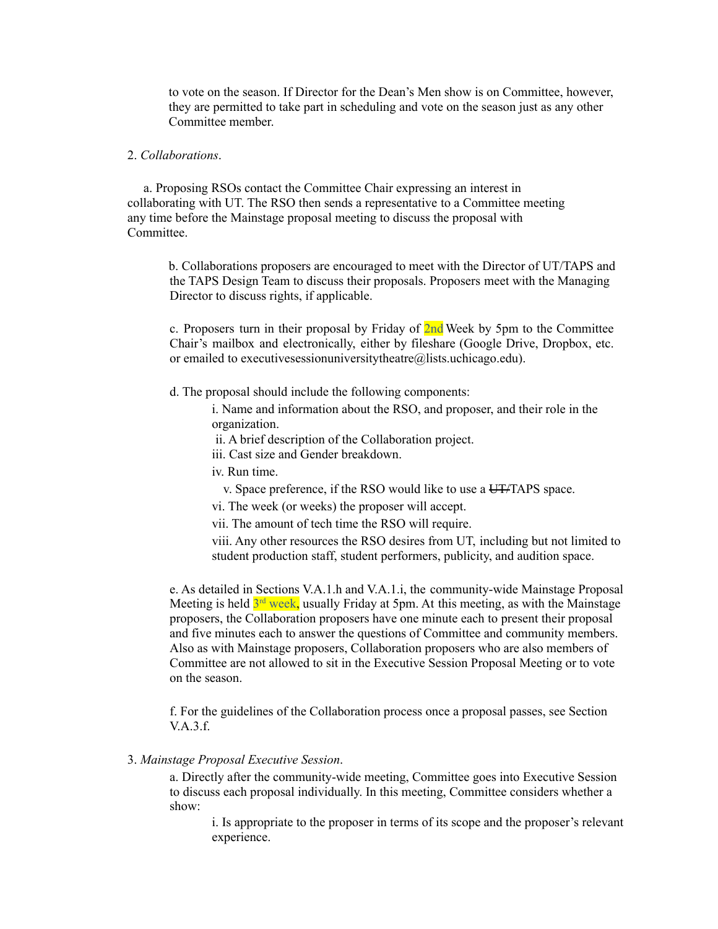to vote on the season. If Director for the Dean's Men show is on Committee, however, they are permitted to take part in scheduling and vote on the season just as any other Committee member.

### 2. *Collaborations*.

a. Proposing RSOs contact the Committee Chair expressing an interest in collaborating with UT. The RSO then sends a representative to a Committee meeting any time before the Mainstage proposal meeting to discuss the proposal with Committee.

b. Collaborations proposers are encouraged to meet with the Director of UT/TAPS and the TAPS Design Team to discuss their proposals. Proposers meet with the Managing Director to discuss rights, if applicable.

c. Proposers turn in their proposal by Friday of  $2nd$  Week by 5pm to the Committee Chair's mailbox and electronically, either by fileshare (Google Drive, Dropbox, etc. or emailed to executivesessionuniversitytheatre@lists.uchicago.edu).

d. The proposal should include the following components:

i. Name and information about the RSO, and proposer, and their role in the organization.

ii. A brief description of the Collaboration project.

iii. Cast size and Gender breakdown.

iv. Run time.

v. Space preference, if the RSO would like to use a UT/TAPS space.

vi. The week (or weeks) the proposer will accept.

vii. The amount of tech time the RSO will require.

viii. Any other resources the RSO desires from UT, including but not limited to student production staff, student performers, publicity, and audition space.

e. As detailed in Sections V.A.1.h and V.A.1.i, the community-wide Mainstage Proposal Meeting is held  $3<sup>rd</sup>$  week, usually Friday at 5pm. At this meeting, as with the Mainstage proposers, the Collaboration proposers have one minute each to present their proposal and five minutes each to answer the questions of Committee and community members. Also as with Mainstage proposers, Collaboration proposers who are also members of Committee are not allowed to sit in the Executive Session Proposal Meeting or to vote on the season.

f. For the guidelines of the Collaboration process once a proposal passes, see Section V.A.3.f.

#### 3. *Mainstage Proposal Executive Session*.

a. Directly after the community-wide meeting, Committee goes into Executive Session to discuss each proposal individually. In this meeting, Committee considers whether a show:

i. Is appropriate to the proposer in terms of its scope and the proposer's relevant experience.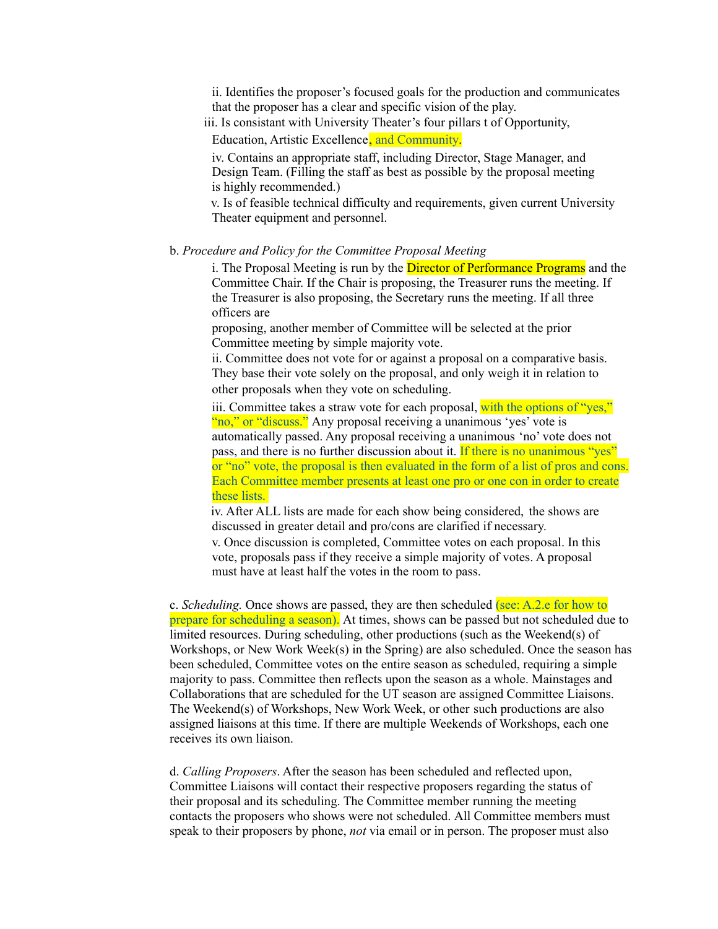ii. Identifies the proposer's focused goals for the production and communicates that the proposer has a clear and specific vision of the play.

iii. Is consistant with University Theater's four pillars t of Opportunity,

Education, Artistic Excellence, and Community.

iv. Contains an appropriate staff, including Director, Stage Manager, and Design Team. (Filling the staff as best as possible by the proposal meeting is highly recommended.)

v. Is of feasible technical difficulty and requirements, given current University Theater equipment and personnel.

b. *Procedure and Policy for the Committee Proposal Meeting*

i. The Proposal Meeting is run by the **Director of Performance Programs** and the Committee Chair. If the Chair is proposing, the Treasurer runs the meeting. If the Treasurer is also proposing, the Secretary runs the meeting. If all three officers are

proposing, another member of Committee will be selected at the prior Committee meeting by simple majority vote.

ii. Committee does not vote for or against a proposal on a comparative basis. They base their vote solely on the proposal, and only weigh it in relation to other proposals when they vote on scheduling.

iii. Committee takes a straw vote for each proposal, with the options of "yes," "no," or "discuss." Any proposal receiving a unanimous 'yes' vote is automatically passed. Any proposal receiving a unanimous 'no' vote does not pass, and there is no further discussion about it. If there is no unanimous "yes" or "no" vote, the proposal is then evaluated in the form of a list of pros and cons. Each Committee member presents at least one pro or one con in order to create these lists.

iv. After ALL lists are made for each show being considered, the shows are discussed in greater detail and pro/cons are clarified if necessary.

v. Once discussion is completed, Committee votes on each proposal. In this vote, proposals pass if they receive a simple majority of votes. A proposal must have at least half the votes in the room to pass.

c. *Scheduling.* Once shows are passed, they are then scheduled (see: A.2.e for how to prepare for scheduling a season). At times, shows can be passed but not scheduled due to limited resources. During scheduling, other productions (such as the Weekend(s) of Workshops, or New Work Week(s) in the Spring) are also scheduled. Once the season has been scheduled, Committee votes on the entire season as scheduled, requiring a simple majority to pass. Committee then reflects upon the season as a whole. Mainstages and Collaborations that are scheduled for the UT season are assigned Committee Liaisons. The Weekend(s) of Workshops, New Work Week, or other such productions are also assigned liaisons at this time. If there are multiple Weekends of Workshops, each one receives its own liaison.

d. *Calling Proposers*. After the season has been scheduled and reflected upon, Committee Liaisons will contact their respective proposers regarding the status of their proposal and its scheduling. The Committee member running the meeting contacts the proposers who shows were not scheduled. All Committee members must speak to their proposers by phone, *not* via email or in person. The proposer must also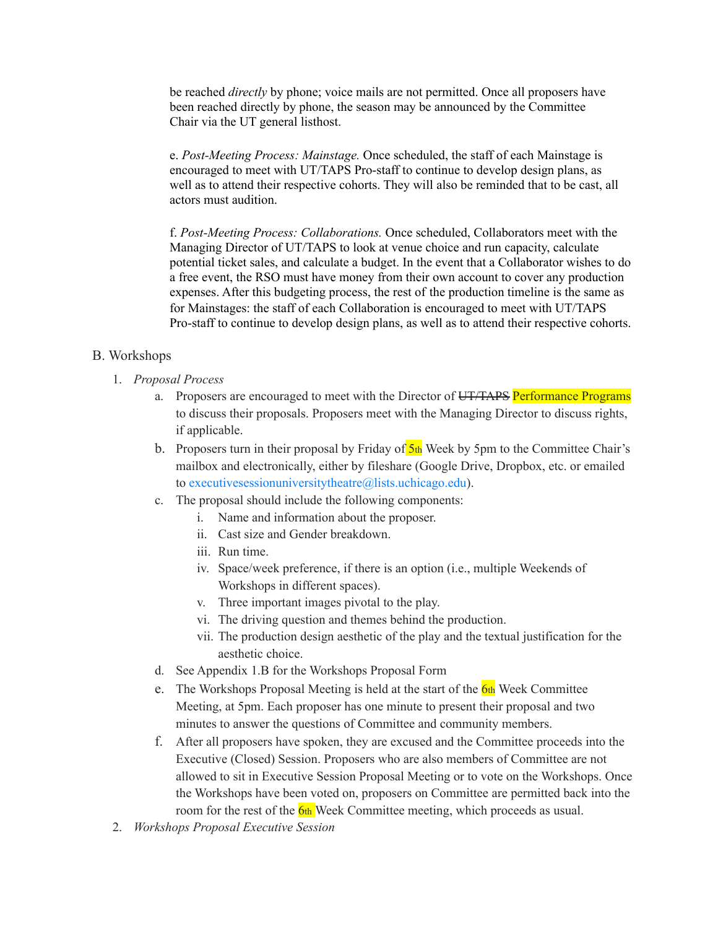be reached *directly* by phone; voice mails are not permitted. Once all proposers have been reached directly by phone, the season may be announced by the Committee Chair via the UT general listhost.

e. *Post-Meeting Process: Mainstage.* Once scheduled, the staff of each Mainstage is encouraged to meet with UT/TAPS Pro-staff to continue to develop design plans, as well as to attend their respective cohorts. They will also be reminded that to be cast, all actors must audition.

f. *Post-Meeting Process: Collaborations.* Once scheduled, Collaborators meet with the Managing Director of UT/TAPS to look at venue choice and run capacity, calculate potential ticket sales, and calculate a budget. In the event that a Collaborator wishes to do a free event, the RSO must have money from their own account to cover any production expenses. After this budgeting process, the rest of the production timeline is the same as for Mainstages: the staff of each Collaboration is encouraged to meet with UT/TAPS Pro-staff to continue to develop design plans, as well as to attend their respective cohorts.

## B. Workshops

- 1. *Proposal Process*
	- a. Proposers are encouraged to meet with the Director of UT/TAPS Performance Programs to discuss their proposals. Proposers meet with the Managing Director to discuss rights, if applicable.
	- b. Proposers turn in their proposal by Friday of  $5<sub>th</sub>$  Week by 5pm to the Committee Chair's mailbox and electronically, either by fileshare (Google Drive, Dropbox, etc. or emailed to [executivesessionuniversitytheatre@lists.uchicago.edu\)](https://ut.uchicago.edu/executivesessionuniversitytheatre@lists.uchicago.edu).
	- c. The proposal should include the following components:
		- i. Name and information about the proposer.
		- ii. Cast size and Gender breakdown.
		- iii. Run time.
		- iv. Space/week preference, if there is an option (i.e., multiple Weekends of Workshops in different spaces).
		- v. Three important images pivotal to the play.
		- vi. The driving question and themes behind the production.
		- vii. The production design aesthetic of the play and the textual justification for the aesthetic choice.
	- d. See Appendix 1.B for the Workshops Proposal Form
	- e. The Workshops Proposal Meeting is held at the start of the  $6th$  Week Committee Meeting, at 5pm. Each proposer has one minute to present their proposal and two minutes to answer the questions of Committee and community members.
	- f. After all proposers have spoken, they are excused and the Committee proceeds into the Executive (Closed) Session. Proposers who are also members of Committee are not allowed to sit in Executive Session Proposal Meeting or to vote on the Workshops. Once the Workshops have been voted on, proposers on Committee are permitted back into the room for the rest of the  $\frac{6 \text{th}}{100}$  Week Committee meeting, which proceeds as usual.
- 2. *Workshops Proposal Executive Session*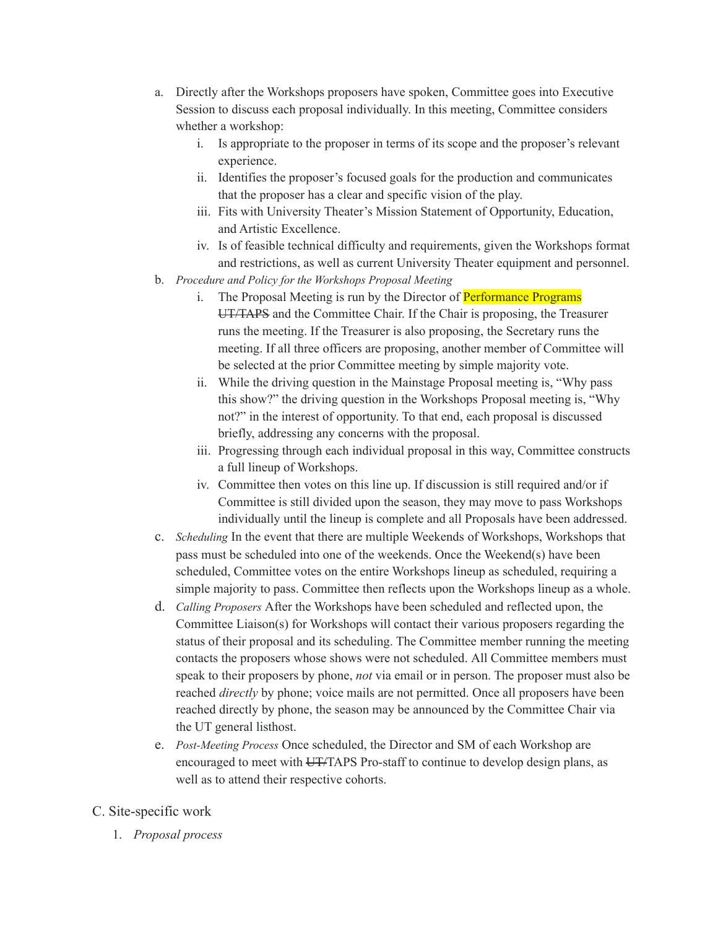- a. Directly after the Workshops proposers have spoken, Committee goes into Executive Session to discuss each proposal individually. In this meeting, Committee considers whether a workshop:
	- i. Is appropriate to the proposer in terms of its scope and the proposer's relevant experience.
	- ii. Identifies the proposer's focused goals for the production and communicates that the proposer has a clear and specific vision of the play.
	- iii. Fits with University Theater's Mission Statement of Opportunity, Education, and Artistic Excellence.
	- iv. Is of feasible technical difficulty and requirements, given the Workshops format and restrictions, as well as current University Theater equipment and personnel.
- b. *Procedure and Policy for the Workshops Proposal Meeting*
	- i. The Proposal Meeting is run by the Director of Performance Programs UT/TAPS and the Committee Chair. If the Chair is proposing, the Treasurer runs the meeting. If the Treasurer is also proposing, the Secretary runs the meeting. If all three officers are proposing, another member of Committee will be selected at the prior Committee meeting by simple majority vote.
	- ii. While the driving question in the Mainstage Proposal meeting is, "Why pass this show?" the driving question in the Workshops Proposal meeting is, "Why not?" in the interest of opportunity. To that end, each proposal is discussed briefly, addressing any concerns with the proposal.
	- iii. Progressing through each individual proposal in this way, Committee constructs a full lineup of Workshops.
	- iv. Committee then votes on this line up. If discussion is still required and/or if Committee is still divided upon the season, they may move to pass Workshops individually until the lineup is complete and all Proposals have been addressed.
- c. *Scheduling* In the event that there are multiple Weekends of Workshops, Workshops that pass must be scheduled into one of the weekends. Once the Weekend(s) have been scheduled, Committee votes on the entire Workshops lineup as scheduled, requiring a simple majority to pass. Committee then reflects upon the Workshops lineup as a whole.
- d. *Calling Proposers* After the Workshops have been scheduled and reflected upon, the Committee Liaison(s) for Workshops will contact their various proposers regarding the status of their proposal and its scheduling. The Committee member running the meeting contacts the proposers whose shows were not scheduled. All Committee members must speak to their proposers by phone, *not* via email or in person. The proposer must also be reached *directly* by phone; voice mails are not permitted. Once all proposers have been reached directly by phone, the season may be announced by the Committee Chair via the UT general listhost.
- e. *Post-Meeting Process* Once scheduled, the Director and SM of each Workshop are encouraged to meet with UTHAPS Pro-staff to continue to develop design plans, as well as to attend their respective cohorts.

# C. Site-specific work

1. *Proposal process*